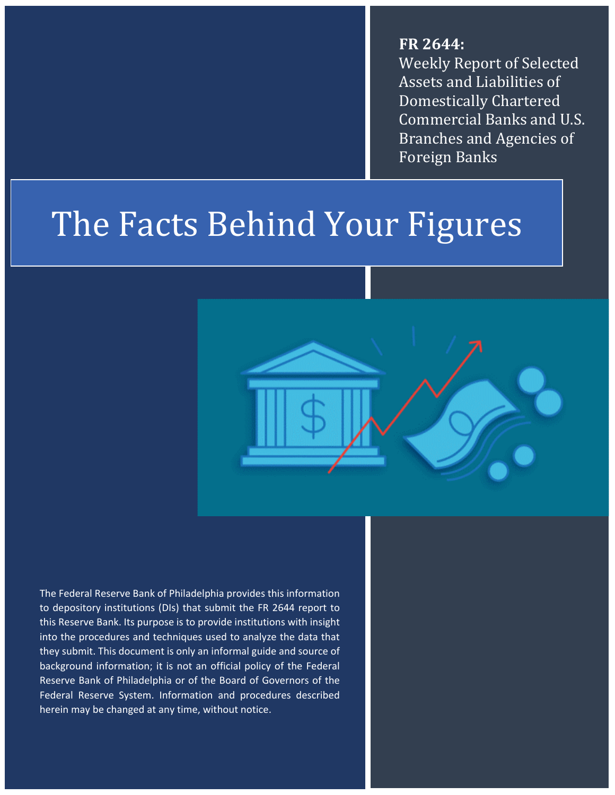**FR 2644:**  Weekly Report of Selected Assets and Liabilities of Domestically Chartered Commercial Banks and U.S. Branches and Agencies of Foreign Banks

# The Facts Behind Your Figures



The Federal Reserve Bank of Philadelphia provides this information to depository institutions (DIs) that submit the FR 2644 report to this Reserve Bank. Its purpose is to provide institutions with insight into the procedures and techniques used to analyze the data that they submit. This document is only an informal guide and source of background information; it is not an official policy of the Federal Reserve Bank of Philadelphia or of the Board of Governors of the Federal Reserve System. Information and procedures described herein may be changed at any time, without notice.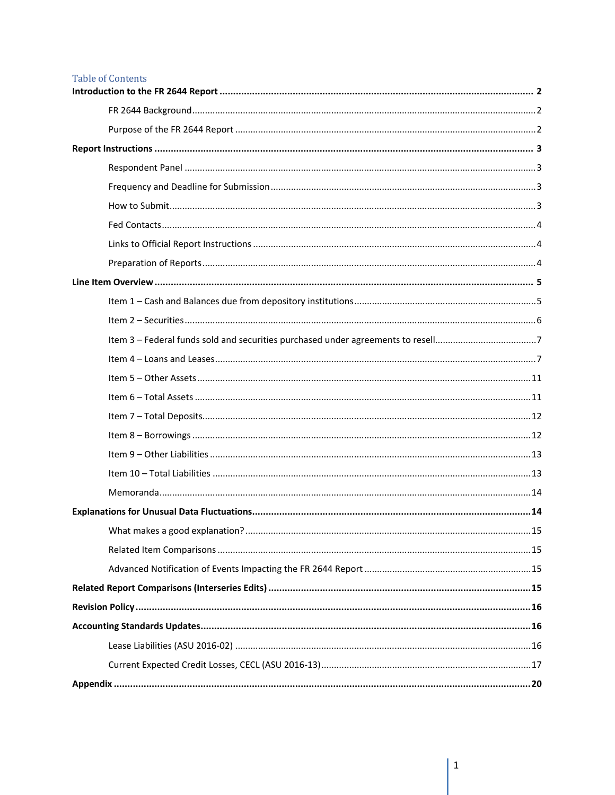#### **Table of Contents**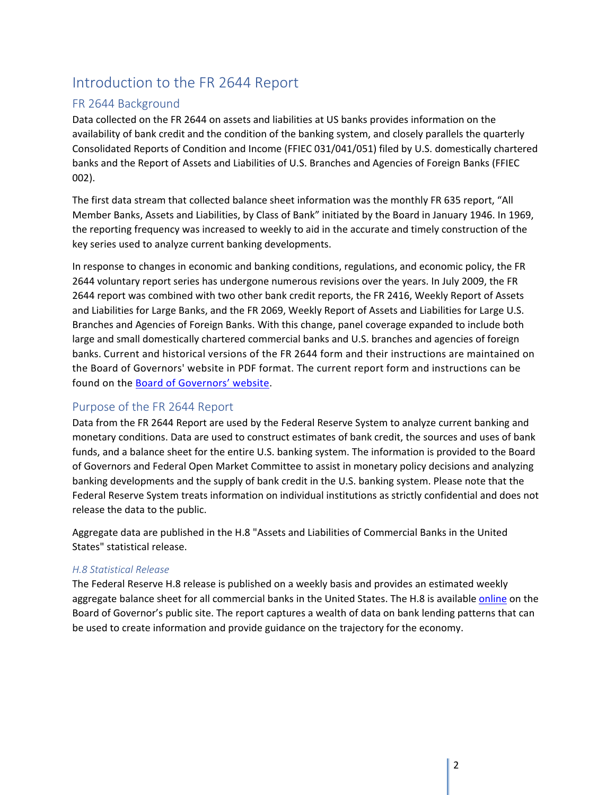# <span id="page-2-0"></span>Introduction to the FR 2644 Report

## <span id="page-2-1"></span>FR 2644 Background

Data collected on the FR 2644 on assets and liabilities at US banks provides information on the availability of bank credit and the condition of the banking system, and closely parallels the quarterly Consolidated Reports of Condition and Income (FFIEC 031/041/051) filed by U.S. domestically chartered banks and the Report of Assets and Liabilities of U.S. Branches and Agencies of Foreign Banks (FFIEC 002).

The first data stream that collected balance sheet information was the monthly FR 635 report, "All Member Banks, Assets and Liabilities, by Class of Bank" initiated by the Board in January 1946. In 1969, the reporting frequency was increased to weekly to aid in the accurate and timely construction of the key series used to analyze current banking developments.

In response to changes in economic and banking conditions, regulations, and economic policy, the FR 2644 voluntary report series has undergone numerous revisions over the years. In July 2009, the FR 2644 report was combined with two other bank credit reports, the FR 2416, Weekly Report of Assets and Liabilities for Large Banks, and the FR 2069, Weekly Report of Assets and Liabilities for Large U.S. Branches and Agencies of Foreign Banks. With this change, panel coverage expanded to include both large and small domestically chartered commercial banks and U.S. branches and agencies of foreign banks. Current and historical versions of the FR 2644 form and their instructions are maintained on the Board of Governors' website in PDF format. The current report form and instructions can be found on the [Board of Governors' website.](https://www.federalreserve.gov/apps/reportforms/default.aspx)

## <span id="page-2-2"></span>Purpose of the FR 2644 Report

Data from the FR 2644 Report are used by the Federal Reserve System to analyze current banking and monetary conditions. Data are used to construct estimates of bank credit, the sources and uses of bank funds, and a balance sheet for the entire U.S. banking system. The information is provided to the Board of Governors and Federal Open Market Committee to assist in monetary policy decisions and analyzing banking developments and the supply of bank credit in the U.S. banking system. Please note that the Federal Reserve System treats information on individual institutions as strictly confidential and does not release the data to the public.

Aggregate data are published in the H.8 "Assets and Liabilities of Commercial Banks in the United States" statistical release.

## *H.8 Statistical Release*

The Federal Reserve H.8 release is published on a weekly basis and provides an estimated weekly aggregate balance sheet for all commercial banks in the United States. The H.8 is available [online](https://www.federalreserve.gov/releases/h8/current/default.htm) on the Board of Governor's public site. The report captures a wealth of data on bank lending patterns that can be used to create information and provide guidance on the trajectory for the economy.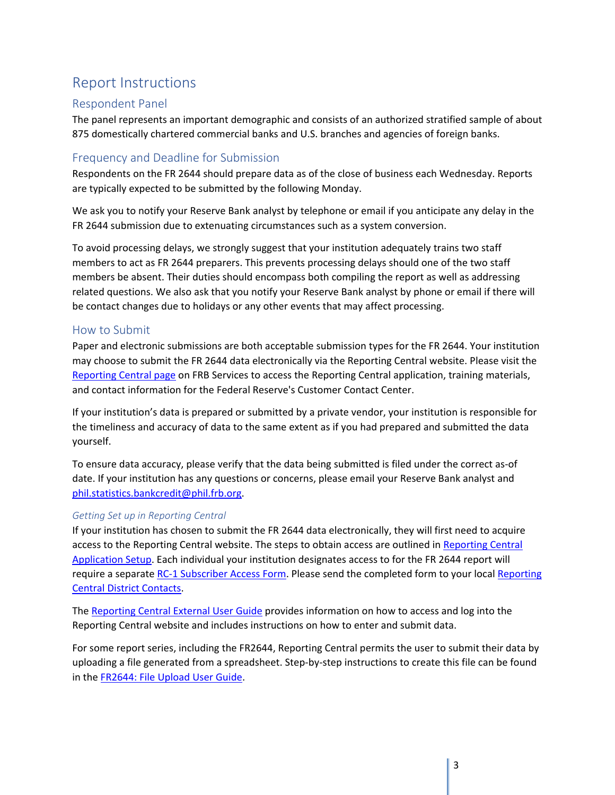# <span id="page-3-0"></span>Report Instructions

## <span id="page-3-1"></span>Respondent Panel

The panel represents an important demographic and consists of an authorized stratified sample of about 875 domestically chartered commercial banks and U.S. branches and agencies of foreign banks.

## <span id="page-3-2"></span>Frequency and Deadline for Submission

Respondents on the FR 2644 should prepare data as of the close of business each Wednesday. Reports are typically expected to be submitted by the following Monday.

We ask you to notify your Reserve Bank analyst by telephone or email if you anticipate any delay in the FR 2644 submission due to extenuating circumstances such as a system conversion.

To avoid processing delays, we strongly suggest that your institution adequately trains two staff members to act as FR 2644 preparers. This prevents processing delays should one of the two staff members be absent. Their duties should encompass both compiling the report as well as addressing related questions. We also ask that you notify your Reserve Bank analyst by phone or email if there will be contact changes due to holidays or any other events that may affect processing.

## <span id="page-3-3"></span>How to Submit

Paper and electronic submissions are both acceptable submission types for the FR 2644. Your institution may choose to submit the FR 2644 data electronically via the Reporting Central website. Please visit the [Reporting Central page](https://www.frbservices.org/central-bank/reporting-central/index.html) on FRB Services to access the Reporting Central application, training materials, and contact information for the Federal Reserve's Customer Contact Center.

If your institution's data is prepared or submitted by a private vendor, your institution is responsible for the timeliness and accuracy of data to the same extent as if you had prepared and submitted the data yourself.

To ensure data accuracy, please verify that the data being submitted is filed under the correct as-of date. If your institution has any questions or concerns, please email your Reserve Bank analyst and [phil.statistics.bankcredit@phil.frb.org.](mailto:phil.statistics.bankcredit@phil.frb.org)

## *Getting Set up in Reporting Central*

If your institution has chosen to submit the FR 2644 data electronically, they will first need to acquire access to the Reporting Central website. The steps to obtain access are outlined in [Reporting Central](https://www.frbservices.org/central-bank/reporting-central/service-setup/index.html)  [Application Setup.](https://www.frbservices.org/central-bank/reporting-central/service-setup/index.html) Each individual your institution designates access to for the FR 2644 report will require a separat[e RC-1 Subscriber Access Form.](https://www.frbservices.org/central-bank/reporting-central/service-setup/step-4.html) Please send the completed form to your loca[l Reporting](https://www.frbservices.org/contactus/reporting-central.html)  [Central District Contacts.](https://www.frbservices.org/contactus/reporting-central.html)

The [Reporting Central External User Guide](https://www.frbservices.org/binaries/content/assets/crsocms/central-bank/reporting-central/external-user-guide.pdf) provides information on how to access and log into the Reporting Central website and includes instructions on how to enter and submit data.

For some report series, including the FR2644, Reporting Central permits the user to submit their data by uploading a file generated from a spreadsheet. Step-by-step instructions to create this file can be found in the [FR2644: File Upload User Guide.](https://www.frbservices.org/binaries/content/assets/crsocms/central-bank/reporting-central/fr-2644-upload-user-guide.pdf)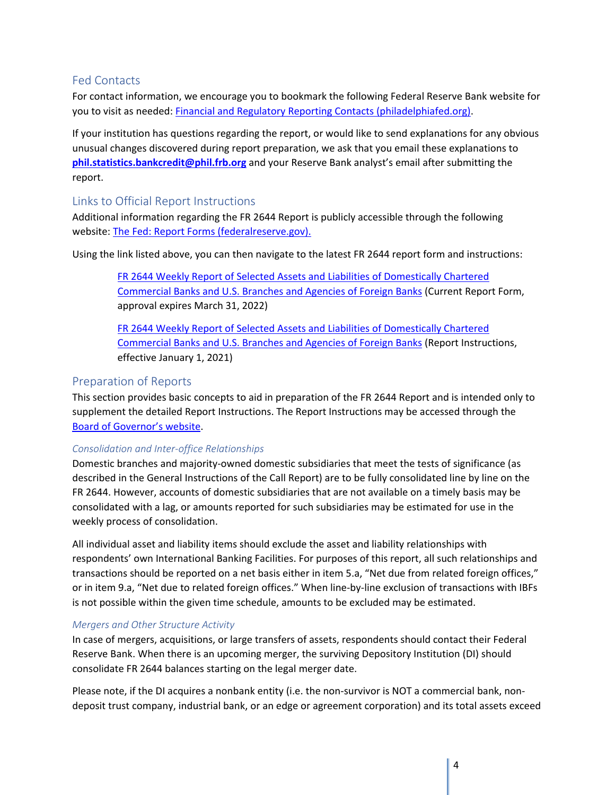## <span id="page-4-0"></span>Fed Contacts

For contact information, we encourage you to bookmark the following Federal Reserve Bank website for you to visit as needed: [Financial and Regulatory Reporting](https://www.philadelphiafed.org/banking/financial-and-regulatory-reporting-contacts) Contacts (philadelphiafed.org).

If your institution has questions regarding the report, or would like to send explanations for any obvious unusual changes discovered during report preparation, we ask that you email these explanations to **[phil.statistics.bankcredit@phil.frb.org](mailto:phil.statistics.bankcredit@phil.frb.org)** and your Reserve Bank analyst's email after submitting the report.

## <span id="page-4-1"></span>Links to Official Report Instructions

Additional information regarding the FR 2644 Report is publicly accessible through the following website: [The Fed: Report Forms \(federalreserve.gov\).](https://www.federalreserve.gov/apps/reportforms/default.aspx)

Using the link listed above, you can then navigate to the latest FR 2644 report form and instructions:

[FR 2644 Weekly Report of Selected Assets and Liabilities of Domestically Chartered](https://www.federalreserve.gov/reportforms/forms/FR_264420210113_f.pdf)  [Commercial Banks and U.S. Branches and Agencies of Foreign Banks](https://www.federalreserve.gov/reportforms/forms/FR_264420210113_f.pdf) (Current Report Form, approval expires March 31, 2022)

[FR 2644 Weekly Report of Selected Assets and Liabilities of Domestically Chartered](https://www.federalreserve.gov/reportforms/forms/FR_264420210113_i.pdf)  [Commercial Banks and U.S. Branches and Agencies of Foreign Banks](https://www.federalreserve.gov/reportforms/forms/FR_264420210113_i.pdf) (Report Instructions, effective January 1, 2021)

## <span id="page-4-2"></span>Preparation of Reports

This section provides basic concepts to aid in preparation of the FR 2644 Report and is intended only to supplement the detailed Report Instructions. The Report Instructions may be accessed through the [Board of Governor's website.](https://www.federalreserve.gov/apps/reportforms/default.aspx)

## *Consolidation and Inter-office Relationships*

Domestic branches and majority-owned domestic subsidiaries that meet the tests of significance (as described in the General Instructions of the Call Report) are to be fully consolidated line by line on the FR 2644. However, accounts of domestic subsidiaries that are not available on a timely basis may be consolidated with a lag, or amounts reported for such subsidiaries may be estimated for use in the weekly process of consolidation.

All individual asset and liability items should exclude the asset and liability relationships with respondents' own International Banking Facilities. For purposes of this report, all such relationships and transactions should be reported on a net basis either in item 5.a, "Net due from related foreign offices," or in item 9.a, "Net due to related foreign offices." When line-by-line exclusion of transactions with IBFs is not possible within the given time schedule, amounts to be excluded may be estimated.

## *Mergers and Other Structure Activity*

In case of mergers, acquisitions, or large transfers of assets, respondents should contact their Federal Reserve Bank. When there is an upcoming merger, the surviving Depository Institution (DI) should consolidate FR 2644 balances starting on the legal merger date.

Please note, if the DI acquires a nonbank entity (i.e. the non-survivor is NOT a commercial bank, nondeposit trust company, industrial bank, or an edge or agreement corporation) and its total assets exceed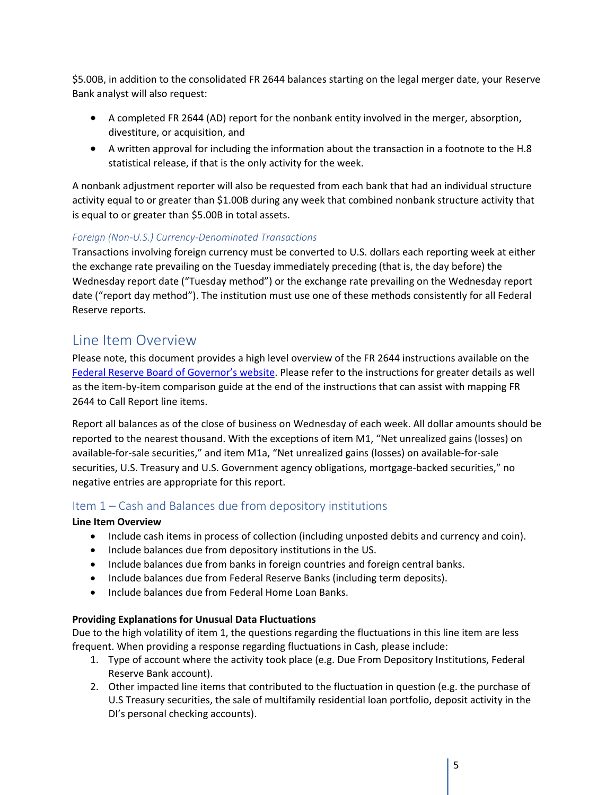\$5.00B, in addition to the consolidated FR 2644 balances starting on the legal merger date, your Reserve Bank analyst will also request:

- A completed FR 2644 (AD) report for the nonbank entity involved in the merger, absorption, divestiture, or acquisition, and
- A written approval for including the information about the transaction in a footnote to the H.8 statistical release, if that is the only activity for the week.

A nonbank adjustment reporter will also be requested from each bank that had an individual structure activity equal to or greater than \$1.00B during any week that combined nonbank structure activity that is equal to or greater than \$5.00B in total assets.

## *Foreign (Non-U.S.) Currency-Denominated Transactions*

Transactions involving foreign currency must be converted to U.S. dollars each reporting week at either the exchange rate prevailing on the Tuesday immediately preceding (that is, the day before) the Wednesday report date ("Tuesday method") or the exchange rate prevailing on the Wednesday report date ("report day method"). The institution must use one of these methods consistently for all Federal Reserve reports.

# <span id="page-5-0"></span>Line Item Overview

Please note, this document provides a high level overview of the FR 2644 instructions available on the [Federal Reserve Board of Governor's website.](https://www.federalreserve.gov/apps/reportforms/reportdetail.aspx?sOoYJ+5BzDa9jexXCdkUSw==) Please refer to the instructions for greater details as well as the item-by-item comparison guide at the end of the instructions that can assist with mapping FR 2644 to Call Report line items.

Report all balances as of the close of business on Wednesday of each week. All dollar amounts should be reported to the nearest thousand. With the exceptions of item M1, "Net unrealized gains (losses) on available-for-sale securities," and item M1a, "Net unrealized gains (losses) on available-for-sale securities, U.S. Treasury and U.S. Government agency obligations, mortgage-backed securities," no negative entries are appropriate for this report.

## <span id="page-5-1"></span>Item 1 – Cash and Balances due from depository institutions

#### **Line Item Overview**

- Include cash items in process of collection (including unposted debits and currency and coin).
- Include balances due from depository institutions in the US.
- Include balances due from banks in foreign countries and foreign central banks.
- Include balances due from Federal Reserve Banks (including term deposits).
- Include balances due from Federal Home Loan Banks.

#### **Providing Explanations for Unusual Data Fluctuations**

Due to the high volatility of item 1, the questions regarding the fluctuations in this line item are less frequent. When providing a response regarding fluctuations in Cash, please include:

- 1. Type of account where the activity took place (e.g. Due From Depository Institutions, Federal Reserve Bank account).
- 2. Other impacted line items that contributed to the fluctuation in question (e.g. the purchase of U.S Treasury securities, the sale of multifamily residential loan portfolio, deposit activity in the DI's personal checking accounts).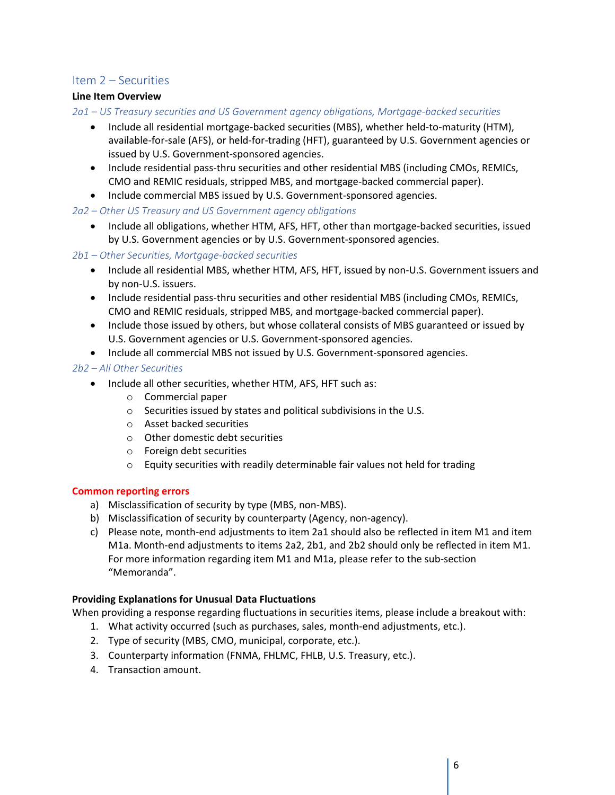## <span id="page-6-0"></span>Item 2 – Securities

#### **Line Item Overview**

*2a1 – US Treasury securities and US Government agency obligations, Mortgage-backed securities*

- Include all residential mortgage-backed securities (MBS), whether held-to-maturity (HTM), available-for-sale (AFS), or held-for-trading (HFT), guaranteed by U.S. Government agencies or issued by U.S. Government-sponsored agencies.
- Include residential pass-thru securities and other residential MBS (including CMOs, REMICs, CMO and REMIC residuals, stripped MBS, and mortgage-backed commercial paper).
- Include commercial MBS issued by U.S. Government-sponsored agencies.

*2a2 – Other US Treasury and US Government agency obligations*

• Include all obligations, whether HTM, AFS, HFT, other than mortgage-backed securities, issued by U.S. Government agencies or by U.S. Government-sponsored agencies.

*2b1 – Other Securities, Mortgage-backed securities*

- Include all residential MBS, whether HTM, AFS, HFT, issued by non-U.S. Government issuers and by non-U.S. issuers.
- Include residential pass-thru securities and other residential MBS (including CMOs, REMICs, CMO and REMIC residuals, stripped MBS, and mortgage-backed commercial paper).
- Include those issued by others, but whose collateral consists of MBS guaranteed or issued by U.S. Government agencies or U.S. Government-sponsored agencies.
- Include all commercial MBS not issued by U.S. Government-sponsored agencies.

#### *2b2 – All Other Securities*

- Include all other securities, whether HTM, AFS, HFT such as:
	- o Commercial paper
	- o Securities issued by states and political subdivisions in the U.S.
	- o Asset backed securities
	- o Other domestic debt securities
	- o Foreign debt securities
	- o Equity securities with readily determinable fair values not held for trading

#### **Common reporting errors**

- a) Misclassification of security by type (MBS, non-MBS).
- b) Misclassification of security by counterparty (Agency, non-agency).
- c) Please note, month-end adjustments to item 2a1 should also be reflected in item M1 and item M1a. Month-end adjustments to items 2a2, 2b1, and 2b2 should only be reflected in item M1. For more information regarding item M1 and M1a, please refer to the sub-section "Memoranda".

## **Providing Explanations for Unusual Data Fluctuations**

When providing a response regarding fluctuations in securities items, please include a breakout with:

- 1. What activity occurred (such as purchases, sales, month-end adjustments, etc.).
- 2. Type of security (MBS, CMO, municipal, corporate, etc.).
- 3. Counterparty information (FNMA, FHLMC, FHLB, U.S. Treasury, etc.).
- 4. Transaction amount.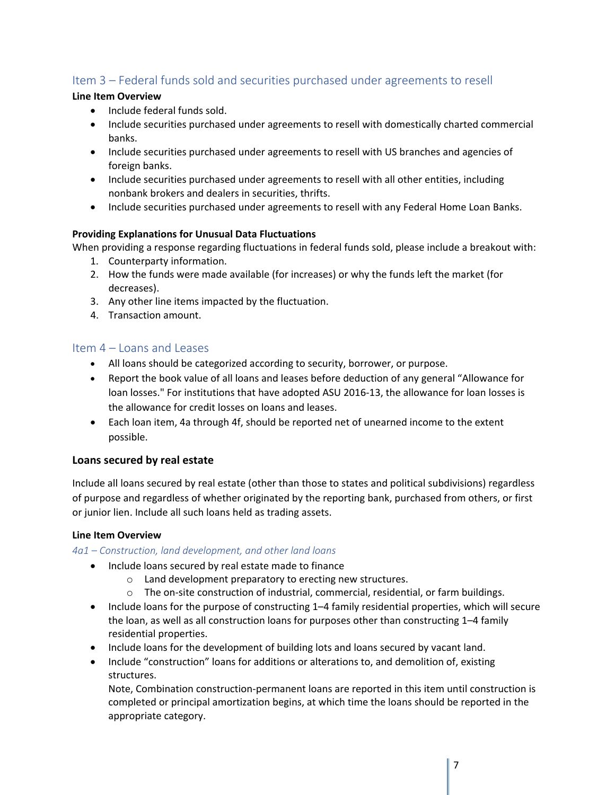## <span id="page-7-0"></span>Item 3 – Federal funds sold and securities purchased under agreements to resell

#### **Line Item Overview**

- Include federal funds sold.
- Include securities purchased under agreements to resell with domestically charted commercial banks.
- Include securities purchased under agreements to resell with US branches and agencies of foreign banks.
- Include securities purchased under agreements to resell with all other entities, including nonbank brokers and dealers in securities, thrifts.
- Include securities purchased under agreements to resell with any Federal Home Loan Banks.

## **Providing Explanations for Unusual Data Fluctuations**

When providing a response regarding fluctuations in federal funds sold, please include a breakout with:

- 1. Counterparty information.
- 2. How the funds were made available (for increases) or why the funds left the market (for decreases).
- 3. Any other line items impacted by the fluctuation.
- 4. Transaction amount.

## <span id="page-7-1"></span>Item 4 – Loans and Leases

- All loans should be categorized according to security, borrower, or purpose.
- Report the book value of all loans and leases before deduction of any general "Allowance for loan losses." For institutions that have adopted ASU 2016-13, the allowance for loan losses is the allowance for credit losses on loans and leases.
- Each loan item, 4a through 4f, should be reported net of unearned income to the extent possible.

## **Loans secured by real estate**

Include all loans secured by real estate (other than those to states and political subdivisions) regardless of purpose and regardless of whether originated by the reporting bank, purchased from others, or first or junior lien. Include all such loans held as trading assets.

#### **Line Item Overview**

*4a1 – Construction, land development, and other land loans*

- Include loans secured by real estate made to finance
	- o Land development preparatory to erecting new structures.
	- $\circ$  The on-site construction of industrial, commercial, residential, or farm buildings.
- Include loans for the purpose of constructing 1–4 family residential properties, which will secure the loan, as well as all construction loans for purposes other than constructing 1–4 family residential properties.
- Include loans for the development of building lots and loans secured by vacant land.
- Include "construction" loans for additions or alterations to, and demolition of, existing structures.

Note, Combination construction-permanent loans are reported in this item until construction is completed or principal amortization begins, at which time the loans should be reported in the appropriate category.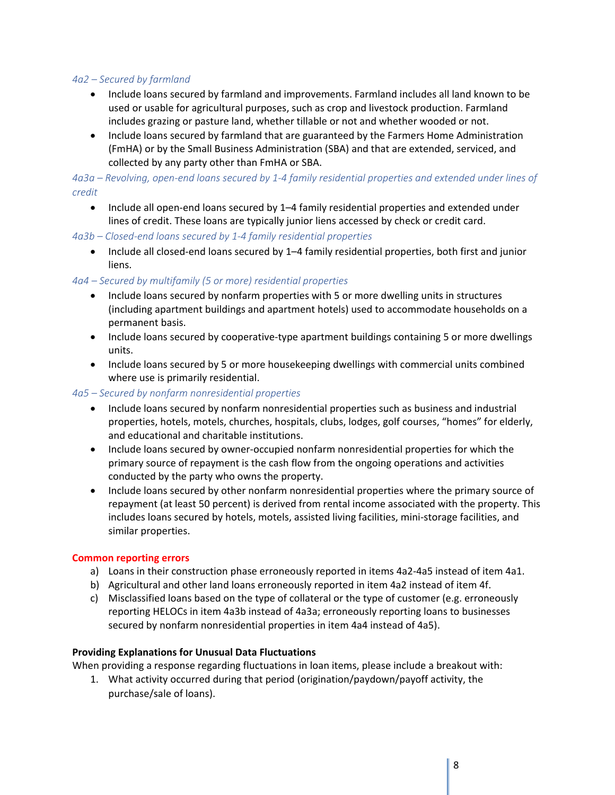#### *4a2 – Secured by farmland*

- Include loans secured by farmland and improvements. Farmland includes all land known to be used or usable for agricultural purposes, such as crop and livestock production. Farmland includes grazing or pasture land, whether tillable or not and whether wooded or not.
- Include loans secured by farmland that are guaranteed by the Farmers Home Administration (FmHA) or by the Small Business Administration (SBA) and that are extended, serviced, and collected by any party other than FmHA or SBA.

*4a3a – Revolving, open-end loans secured by 1-4 family residential properties and extended under lines of credit*

• Include all open-end loans secured by 1–4 family residential properties and extended under lines of credit. These loans are typically junior liens accessed by check or credit card.

*4a3b – Closed-end loans secured by 1-4 family residential properties*

• Include all closed-end loans secured by 1–4 family residential properties, both first and junior liens.

#### *4a4 – Secured by multifamily (5 or more) residential properties*

- Include loans secured by nonfarm properties with 5 or more dwelling units in structures (including apartment buildings and apartment hotels) used to accommodate households on a permanent basis.
- Include loans secured by cooperative-type apartment buildings containing 5 or more dwellings units.
- Include loans secured by 5 or more housekeeping dwellings with commercial units combined where use is primarily residential.

#### *4a5 – Secured by nonfarm nonresidential properties*

- Include loans secured by nonfarm nonresidential properties such as business and industrial properties, hotels, motels, churches, hospitals, clubs, lodges, golf courses, "homes" for elderly, and educational and charitable institutions.
- Include loans secured by owner-occupied nonfarm nonresidential properties for which the primary source of repayment is the cash flow from the ongoing operations and activities conducted by the party who owns the property.
- Include loans secured by other nonfarm nonresidential properties where the primary source of repayment (at least 50 percent) is derived from rental income associated with the property. This includes loans secured by hotels, motels, assisted living facilities, mini-storage facilities, and similar properties.

#### **Common reporting errors**

- a) Loans in their construction phase erroneously reported in items 4a2-4a5 instead of item 4a1.
- b) Agricultural and other land loans erroneously reported in item 4a2 instead of item 4f.
- c) Misclassified loans based on the type of collateral or the type of customer (e.g. erroneously reporting HELOCs in item 4a3b instead of 4a3a; erroneously reporting loans to businesses secured by nonfarm nonresidential properties in item 4a4 instead of 4a5).

#### **Providing Explanations for Unusual Data Fluctuations**

When providing a response regarding fluctuations in loan items, please include a breakout with:

1. What activity occurred during that period (origination/paydown/payoff activity, the purchase/sale of loans).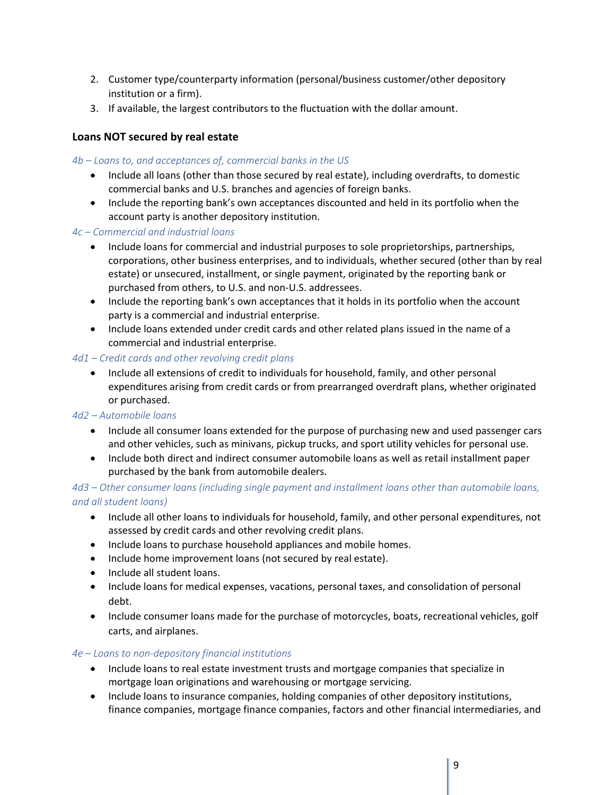- 2. Customer type/counterparty information (personal/business customer/other depository institution or a firm).
- 3. If available, the largest contributors to the fluctuation with the dollar amount.

## **Loans NOT secured by real estate**

#### *4b – Loans to, and acceptances of, commercial banks in the US*

- Include all loans (other than those secured by real estate), including overdrafts, to domestic commercial banks and U.S. branches and agencies of foreign banks.
- Include the reporting bank's own acceptances discounted and held in its portfolio when the account party is another depository institution.

#### *4c – Commercial and industrial loans*

- Include loans for commercial and industrial purposes to sole proprietorships, partnerships, corporations, other business enterprises, and to individuals, whether secured (other than by real estate) or unsecured, installment, or single payment, originated by the reporting bank or purchased from others, to U.S. and non-U.S. addressees.
- Include the reporting bank's own acceptances that it holds in its portfolio when the account party is a commercial and industrial enterprise.
- Include loans extended under credit cards and other related plans issued in the name of a commercial and industrial enterprise.

## *4d1 – Credit cards and other revolving credit plans*

• Include all extensions of credit to individuals for household, family, and other personal expenditures arising from credit cards or from prearranged overdraft plans, whether originated or purchased.

## *4d2 – Automobile loans*

- Include all consumer loans extended for the purpose of purchasing new and used passenger cars and other vehicles, such as minivans, pickup trucks, and sport utility vehicles for personal use.
- Include both direct and indirect consumer automobile loans as well as retail installment paper purchased by the bank from automobile dealers.

*4d3 – Other consumer loans (including single payment and installment loans other than automobile loans, and all student loans)*

- Include all other loans to individuals for household, family, and other personal expenditures, not assessed by credit cards and other revolving credit plans.
- Include loans to purchase household appliances and mobile homes.
- Include home improvement loans (not secured by real estate).
- Include all student loans.
- Include loans for medical expenses, vacations, personal taxes, and consolidation of personal debt.
- Include consumer loans made for the purchase of motorcycles, boats, recreational vehicles, golf carts, and airplanes.

#### *4e – Loans to non-depository financial institutions*

- Include loans to real estate investment trusts and mortgage companies that specialize in mortgage loan originations and warehousing or mortgage servicing.
- Include loans to insurance companies, holding companies of other depository institutions, finance companies, mortgage finance companies, factors and other financial intermediaries, and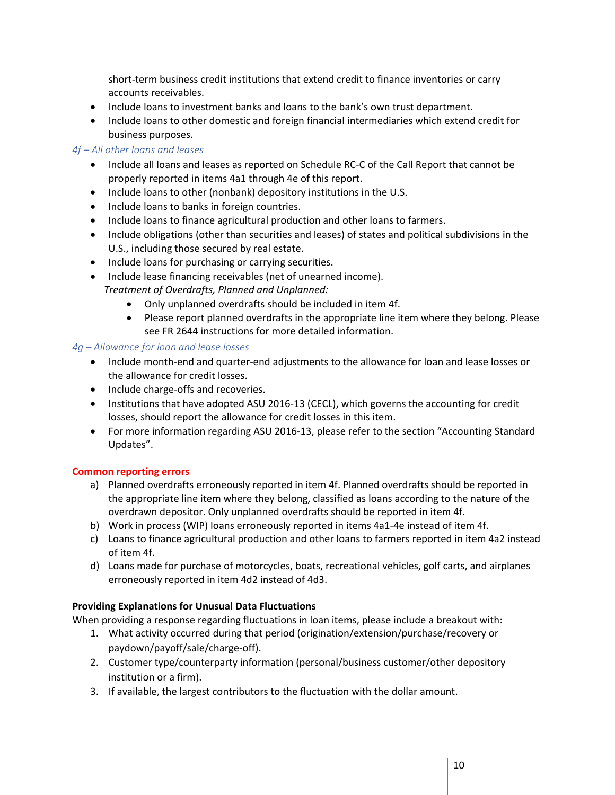short-term business credit institutions that extend credit to finance inventories or carry accounts receivables.

- Include loans to investment banks and loans to the bank's own trust department.
- Include loans to other domestic and foreign financial intermediaries which extend credit for business purposes.

#### *4f – All other loans and leases*

- Include all loans and leases as reported on Schedule RC-C of the Call Report that cannot be properly reported in items 4a1 through 4e of this report.
- Include loans to other (nonbank) depository institutions in the U.S.
- Include loans to banks in foreign countries.
- Include loans to finance agricultural production and other loans to farmers.
- Include obligations (other than securities and leases) of states and political subdivisions in the U.S., including those secured by real estate.
- Include loans for purchasing or carrying securities.
- Include lease financing receivables (net of unearned income). *Treatment of Overdrafts, Planned and Unplanned:*
	- Only unplanned overdrafts should be included in item 4f.
	- Please report planned overdrafts in the appropriate line item where they belong. Please see FR 2644 instructions for more detailed information.

#### *4g – Allowance for loan and lease losses*

- Include month-end and quarter-end adjustments to the allowance for loan and lease losses or the allowance for credit losses.
- Include charge-offs and recoveries.
- Institutions that have adopted ASU 2016-13 (CECL), which governs the accounting for credit losses, should report the allowance for credit losses in this item.
- For more information regarding ASU 2016-13, please refer to the section "Accounting Standard Updates".

#### **Common reporting errors**

- a) Planned overdrafts erroneously reported in item 4f. Planned overdrafts should be reported in the appropriate line item where they belong, classified as loans according to the nature of the overdrawn depositor. Only unplanned overdrafts should be reported in item 4f.
- b) Work in process (WIP) loans erroneously reported in items 4a1-4e instead of item 4f.
- c) Loans to finance agricultural production and other loans to farmers reported in item 4a2 instead of item 4f.
- d) Loans made for purchase of motorcycles, boats, recreational vehicles, golf carts, and airplanes erroneously reported in item 4d2 instead of 4d3.

#### **Providing Explanations for Unusual Data Fluctuations**

When providing a response regarding fluctuations in loan items, please include a breakout with:

- 1. What activity occurred during that period (origination/extension/purchase/recovery or paydown/payoff/sale/charge-off).
- 2. Customer type/counterparty information (personal/business customer/other depository institution or a firm).
- 3. If available, the largest contributors to the fluctuation with the dollar amount.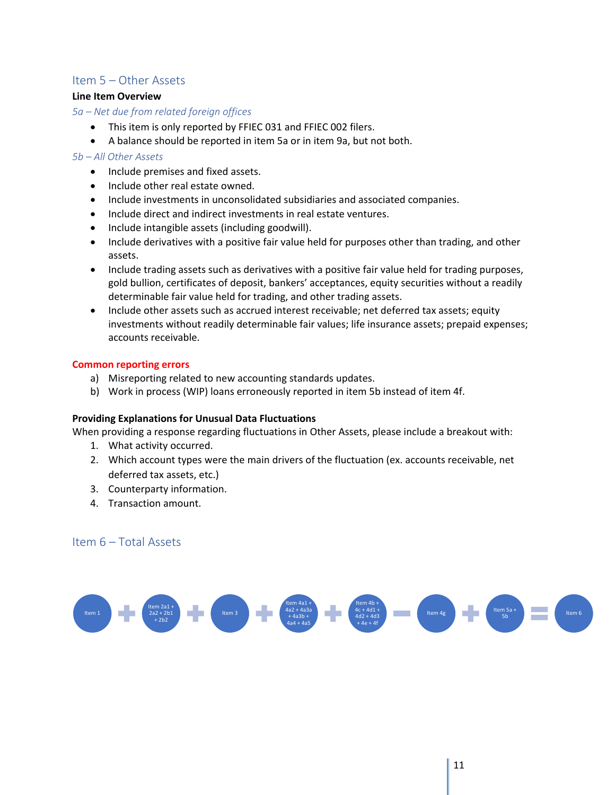## <span id="page-11-0"></span>Item 5 – Other Assets

#### **Line Item Overview**

*5a – Net due from related foreign offices*

- This item is only reported by FFIEC 031 and FFIEC 002 filers.
- A balance should be reported in item 5a or in item 9a, but not both.

#### *5b – All Other Assets*

- Include premises and fixed assets.
- Include other real estate owned.
- Include investments in unconsolidated subsidiaries and associated companies.
- Include direct and indirect investments in real estate ventures.
- Include intangible assets (including goodwill).
- Include derivatives with a positive fair value held for purposes other than trading, and other assets.
- Include trading assets such as derivatives with a positive fair value held for trading purposes, gold bullion, certificates of deposit, bankers' acceptances, equity securities without a readily determinable fair value held for trading, and other trading assets.
- Include other assets such as accrued interest receivable; net deferred tax assets; equity investments without readily determinable fair values; life insurance assets; prepaid expenses; accounts receivable.

#### **Common reporting errors**

- a) Misreporting related to new accounting standards updates.
- b) Work in process (WIP) loans erroneously reported in item 5b instead of item 4f.

#### **Providing Explanations for Unusual Data Fluctuations**

When providing a response regarding fluctuations in Other Assets, please include a breakout with:

- 1. What activity occurred.
- 2. Which account types were the main drivers of the fluctuation (ex. accounts receivable, net deferred tax assets, etc.)
- 3. Counterparty information.
- 4. Transaction amount.

#### <span id="page-11-1"></span>Item 6 – Total Assets

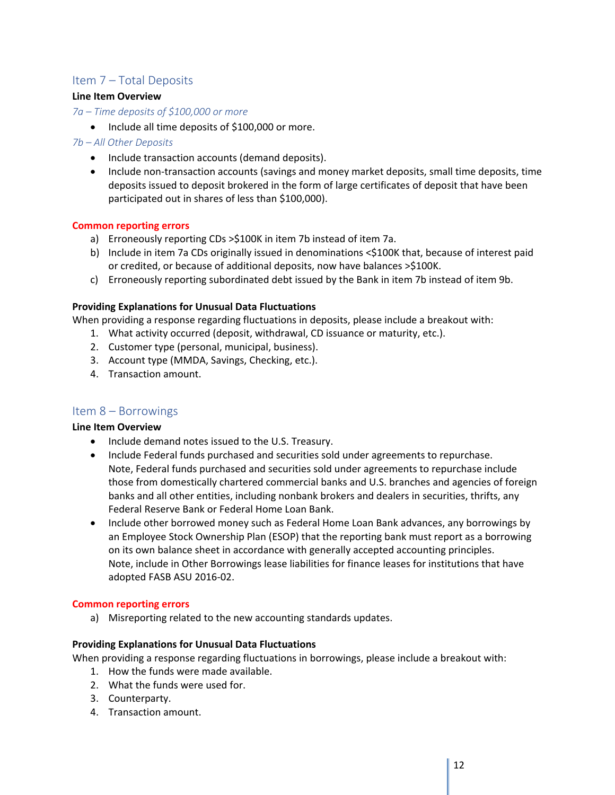## <span id="page-12-0"></span>Item 7 – Total Deposits

#### **Line Item Overview**

#### *7a – Time deposits of \$100,000 or more*

• Include all time deposits of \$100,000 or more.

#### *7b – All Other Deposits*

- Include transaction accounts (demand deposits).
- Include non-transaction accounts (savings and money market deposits, small time deposits, time deposits issued to deposit brokered in the form of large certificates of deposit that have been participated out in shares of less than \$100,000).

#### **Common reporting errors**

- a) Erroneously reporting CDs >\$100K in item 7b instead of item 7a.
- b) Include in item 7a CDs originally issued in denominations <\$100K that, because of interest paid or credited, or because of additional deposits, now have balances >\$100K.
- c) Erroneously reporting subordinated debt issued by the Bank in item 7b instead of item 9b.

#### **Providing Explanations for Unusual Data Fluctuations**

When providing a response regarding fluctuations in deposits, please include a breakout with:

- 1. What activity occurred (deposit, withdrawal, CD issuance or maturity, etc.).
- 2. Customer type (personal, municipal, business).
- 3. Account type (MMDA, Savings, Checking, etc.).
- 4. Transaction amount.

## <span id="page-12-1"></span>Item 8 – Borrowings

#### **Line Item Overview**

- Include demand notes issued to the U.S. Treasury.
- Include Federal funds purchased and securities sold under agreements to repurchase. Note, Federal funds purchased and securities sold under agreements to repurchase include those from domestically chartered commercial banks and U.S. branches and agencies of foreign banks and all other entities, including nonbank brokers and dealers in securities, thrifts, any Federal Reserve Bank or Federal Home Loan Bank.
- Include other borrowed money such as Federal Home Loan Bank advances, any borrowings by an Employee Stock Ownership Plan (ESOP) that the reporting bank must report as a borrowing on its own balance sheet in accordance with generally accepted accounting principles. Note, include in Other Borrowings lease liabilities for finance leases for institutions that have adopted FASB ASU 2016-02.

#### **Common reporting errors**

a) Misreporting related to the new accounting standards updates.

#### **Providing Explanations for Unusual Data Fluctuations**

When providing a response regarding fluctuations in borrowings, please include a breakout with:

- 1. How the funds were made available.
- 2. What the funds were used for.
- 3. Counterparty.
- 4. Transaction amount.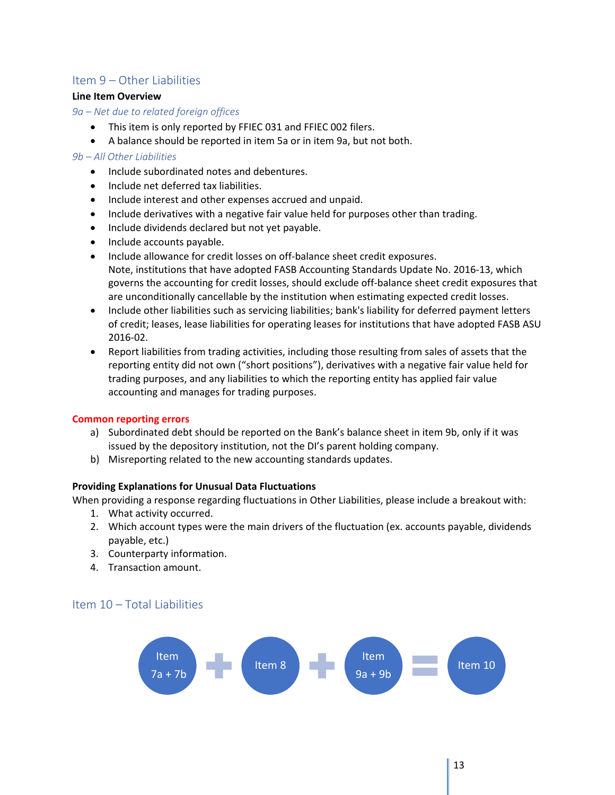## <span id="page-13-0"></span>Item 9 – Other Liabilities

#### **Line Item Overview**

#### *9a – Net due to related foreign offices*

- This item is only reported by FFIEC 031 and FFIEC 002 filers.
- A balance should be reported in item 5a or in item 9a, but not both.

#### *9b – All Other Liabilities*

- Include subordinated notes and debentures.
- Include net deferred tax liabilities.
- Include interest and other expenses accrued and unpaid.
- Include derivatives with a negative fair value held for purposes other than trading.
- Include dividends declared but not yet payable.
- Include accounts payable.
- Include allowance for credit losses on off-balance sheet credit exposures. Note, institutions that have adopted FASB Accounting Standards Update No. 2016-13, which governs the accounting for credit losses, should exclude off-balance sheet credit exposures that are unconditionally cancellable by the institution when estimating expected credit losses.
- Include other liabilities such as servicing liabilities; bank's liability for deferred payment letters of credit; leases, lease liabilities for operating leases for institutions that have adopted FASB ASU 2016-02.
- Report liabilities from trading activities, including those resulting from sales of assets that the reporting entity did not own ("short positions"), derivatives with a negative fair value held for trading purposes, and any liabilities to which the reporting entity has applied fair value accounting and manages for trading purposes.

#### **Common reporting errors**

- a) Subordinated debt should be reported on the Bank's balance sheet in item 9b, only if it was issued by the depository institution, not the DI's parent holding company.
- b) Misreporting related to the new accounting standards updates.

#### **Providing Explanations for Unusual Data Fluctuations**

When providing a response regarding fluctuations in Other Liabilities, please include a breakout with:

- 1. What activity occurred.
- 2. Which account types were the main drivers of the fluctuation (ex. accounts payable, dividends payable, etc.)
- 3. Counterparty information.
- 4. Transaction amount.

## <span id="page-13-1"></span>Item 10 – Total Liabilities

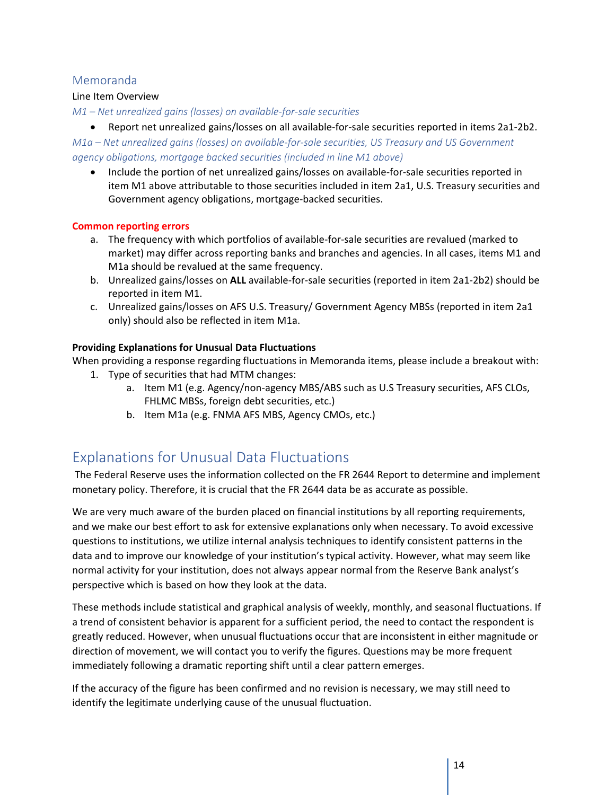## <span id="page-14-0"></span>Memoranda

#### Line Item Overview

*M1 – Net unrealized gains (losses) on available-for-sale securities*

• Report net unrealized gains/losses on all available-for-sale securities reported in items 2a1-2b2.

*M1a – Net unrealized gains (losses) on available-for-sale securities, US Treasury and US Government agency obligations, mortgage backed securities (included in line M1 above)*

• Include the portion of net unrealized gains/losses on available-for-sale securities reported in item M1 above attributable to those securities included in item 2a1, U.S. Treasury securities and Government agency obligations, mortgage-backed securities.

#### **Common reporting errors**

- a. The frequency with which portfolios of available-for-sale securities are revalued (marked to market) may differ across reporting banks and branches and agencies. In all cases, items M1 and M1a should be revalued at the same frequency.
- b. Unrealized gains/losses on **ALL** available-for-sale securities (reported in item 2a1-2b2) should be reported in item M1.
- c. Unrealized gains/losses on AFS U.S. Treasury/ Government Agency MBSs (reported in item 2a1 only) should also be reflected in item M1a.

## **Providing Explanations for Unusual Data Fluctuations**

When providing a response regarding fluctuations in Memoranda items, please include a breakout with:

- 1. Type of securities that had MTM changes:
	- a. Item M1 (e.g. Agency/non-agency MBS/ABS such as U.S Treasury securities, AFS CLOs, FHLMC MBSs, foreign debt securities, etc.)
	- b. Item M1a (e.g. FNMA AFS MBS, Agency CMOs, etc.)

# <span id="page-14-1"></span>Explanations for Unusual Data Fluctuations

The Federal Reserve uses the information collected on the FR 2644 Report to determine and implement monetary policy. Therefore, it is crucial that the FR 2644 data be as accurate as possible.

We are very much aware of the burden placed on financial institutions by all reporting requirements, and we make our best effort to ask for extensive explanations only when necessary. To avoid excessive questions to institutions, we utilize internal analysis techniques to identify consistent patterns in the data and to improve our knowledge of your institution's typical activity. However, what may seem like normal activity for your institution, does not always appear normal from the Reserve Bank analyst's perspective which is based on how they look at the data.

These methods include statistical and graphical analysis of weekly, monthly, and seasonal fluctuations. If a trend of consistent behavior is apparent for a sufficient period, the need to contact the respondent is greatly reduced. However, when unusual fluctuations occur that are inconsistent in either magnitude or direction of movement, we will contact you to verify the figures. Questions may be more frequent immediately following a dramatic reporting shift until a clear pattern emerges.

If the accuracy of the figure has been confirmed and no revision is necessary, we may still need to identify the legitimate underlying cause of the unusual fluctuation.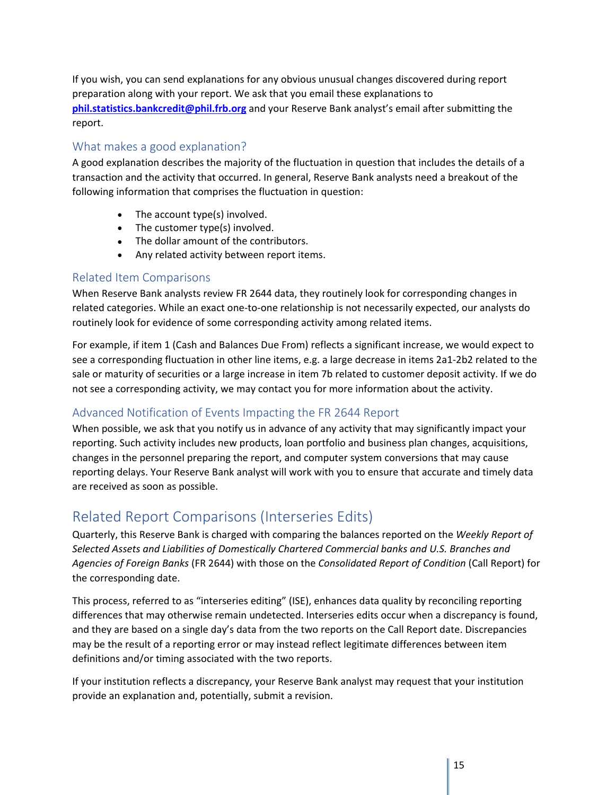If you wish, you can send explanations for any obvious unusual changes discovered during report preparation along with your report. We ask that you email these explanations to **[phil.statistics.bankcredit@phil.frb.org](mailto:phil.statistics.bankcredit@phil.frb.org)** and your Reserve Bank analyst's email after submitting the report.

## <span id="page-15-0"></span>What makes a good explanation?

A good explanation describes the majority of the fluctuation in question that includes the details of a transaction and the activity that occurred. In general, Reserve Bank analysts need a breakout of the following information that comprises the fluctuation in question:

- The account type(s) involved.
- The customer type(s) involved.
- The dollar amount of the contributors.
- Any related activity between report items.

## <span id="page-15-1"></span>Related Item Comparisons

When Reserve Bank analysts review FR 2644 data, they routinely look for corresponding changes in related categories. While an exact one-to-one relationship is not necessarily expected, our analysts do routinely look for evidence of some corresponding activity among related items.

For example, if item 1 (Cash and Balances Due From) reflects a significant increase, we would expect to see a corresponding fluctuation in other line items, e.g. a large decrease in items 2a1-2b2 related to the sale or maturity of securities or a large increase in item 7b related to customer deposit activity. If we do not see a corresponding activity, we may contact you for more information about the activity.

## <span id="page-15-2"></span>Advanced Notification of Events Impacting the FR 2644 Report

When possible, we ask that you notify us in advance of any activity that may significantly impact your reporting. Such activity includes new products, loan portfolio and business plan changes, acquisitions, changes in the personnel preparing the report, and computer system conversions that may cause reporting delays. Your Reserve Bank analyst will work with you to ensure that accurate and timely data are received as soon as possible.

# <span id="page-15-3"></span>Related Report Comparisons (Interseries Edits)

Quarterly, this Reserve Bank is charged with comparing the balances reported on the *Weekly Report of Selected Assets and Liabilities of Domestically Chartered Commercial banks and U.S. Branches and Agencies of Foreign Banks* (FR 2644) with those on the *Consolidated Report of Condition* (Call Report) for the corresponding date.

This process, referred to as "interseries editing" (ISE), enhances data quality by reconciling reporting differences that may otherwise remain undetected. Interseries edits occur when a discrepancy is found, and they are based on a single day's data from the two reports on the Call Report date. Discrepancies may be the result of a reporting error or may instead reflect legitimate differences between item definitions and/or timing associated with the two reports.

If your institution reflects a discrepancy, your Reserve Bank analyst may request that your institution provide an explanation and, potentially, submit a revision.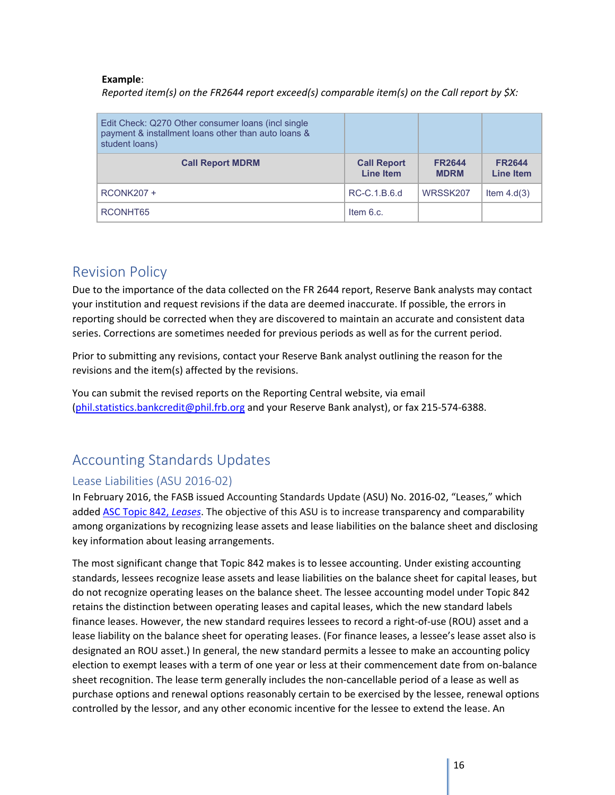#### **Example**:

*Reported item(s) on the FR2644 report exceed(s) comparable item(s) on the Call report by \$X:* 

| Edit Check: Q270 Other consumer loans (incl single<br>payment & installment loans other than auto loans &<br>student loans) |                                        |                              |                                   |
|-----------------------------------------------------------------------------------------------------------------------------|----------------------------------------|------------------------------|-----------------------------------|
| <b>Call Report MDRM</b>                                                                                                     | <b>Call Report</b><br><b>Line Item</b> | <b>FR2644</b><br><b>MDRM</b> | <b>FR2644</b><br><b>Line Item</b> |
| <b>RCONK207 +</b>                                                                                                           | RC-C.1.B.6.d                           | WRSSK207                     | Item $4.d(3)$                     |
| RCONHT65                                                                                                                    | Item $6.c.$                            |                              |                                   |

# <span id="page-16-0"></span>Revision Policy

Due to the importance of the data collected on the FR 2644 report, Reserve Bank analysts may contact your institution and request revisions if the data are deemed inaccurate. If possible, the errors in reporting should be corrected when they are discovered to maintain an accurate and consistent data series. Corrections are sometimes needed for previous periods as well as for the current period.

Prior to submitting any revisions, contact your Reserve Bank analyst outlining the reason for the revisions and the item(s) affected by the revisions.

You can submit the revised reports on the Reporting Central website, via email [\(phil.statistics.bankcredit@phil.frb.org](mailto:phil.statistics.bankcredit@phil.frb.org) and your Reserve Bank analyst), or fax 215-574-6388.

# <span id="page-16-1"></span>Accounting Standards Updates

## <span id="page-16-2"></span>Lease Liabilities (ASU 2016-02)

In February 2016, the FASB issued Accounting Standards Update (ASU) No. 2016-02, "Leases," which adde[d ASC Topic 842,](https://www.fasb.org/jsp/FASB/Document_C/DocumentPage?cid=1176167901010&acceptedDisclaimer=true) *Leases*. The objective of this ASU is to increase transparency and comparability among organizations by recognizing lease assets and lease liabilities on the balance sheet and disclosing key information about leasing arrangements.

The most significant change that Topic 842 makes is to lessee accounting. Under existing accounting standards, lessees recognize lease assets and lease liabilities on the balance sheet for capital leases, but do not recognize operating leases on the balance sheet. The lessee accounting model under Topic 842 retains the distinction between operating leases and capital leases, which the new standard labels finance leases. However, the new standard requires lessees to record a right-of-use (ROU) asset and a lease liability on the balance sheet for operating leases. (For finance leases, a lessee's lease asset also is designated an ROU asset.) In general, the new standard permits a lessee to make an accounting policy election to exempt leases with a term of one year or less at their commencement date from on-balance sheet recognition. The lease term generally includes the non-cancellable period of a lease as well as purchase options and renewal options reasonably certain to be exercised by the lessee, renewal options controlled by the lessor, and any other economic incentive for the lessee to extend the lease. An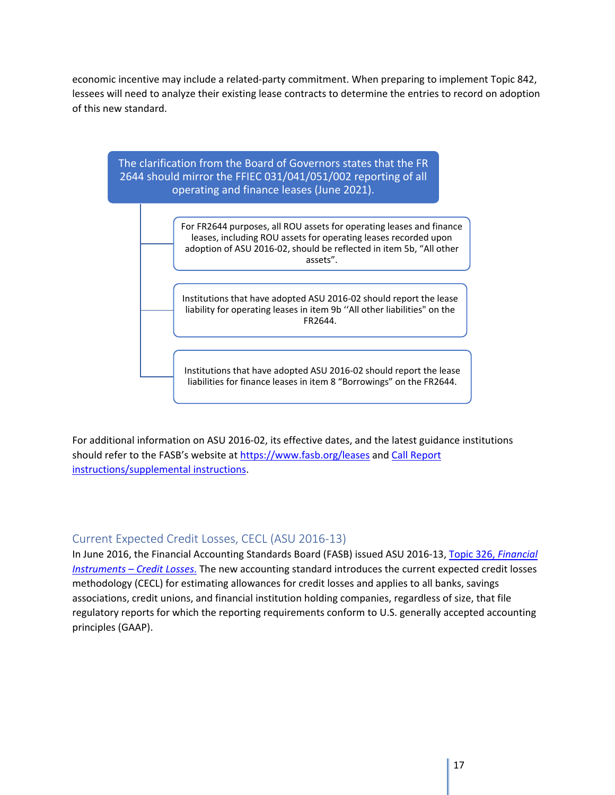economic incentive may include a related-party commitment. When preparing to implement Topic 842, lessees will need to analyze their existing lease contracts to determine the entries to record on adoption of this new standard.



For additional information on ASU 2016-02, its effective dates, and the latest guidance institutions should refer to the FASB's website at<https://www.fasb.org/leases> and [Call Report](https://www.ffiec.gov/ffiec_report_forms.htm)  [instructions/supplemental instructions.](https://www.ffiec.gov/ffiec_report_forms.htm)

## <span id="page-17-0"></span>Current Expected Credit Losses, CECL (ASU 2016-13)

In June 2016, the Financial Accounting Standards Board (FASB) issued ASU 2016-13, [Topic 326,](https://www.fasb.org/jsp/FASB/Document_C/DocumentPage?cid=1176168232528&acceptedDisclaimer=true) *Financial [Instruments –](https://www.fasb.org/jsp/FASB/Document_C/DocumentPage?cid=1176168232528&acceptedDisclaimer=true) Credit Losses*. The new accounting standard introduces the current expected credit losses methodology (CECL) for estimating allowances for credit losses and applies to all banks, savings associations, credit unions, and financial institution holding companies, regardless of size, that file regulatory reports for which the reporting requirements conform to U.S. generally accepted accounting principles (GAAP).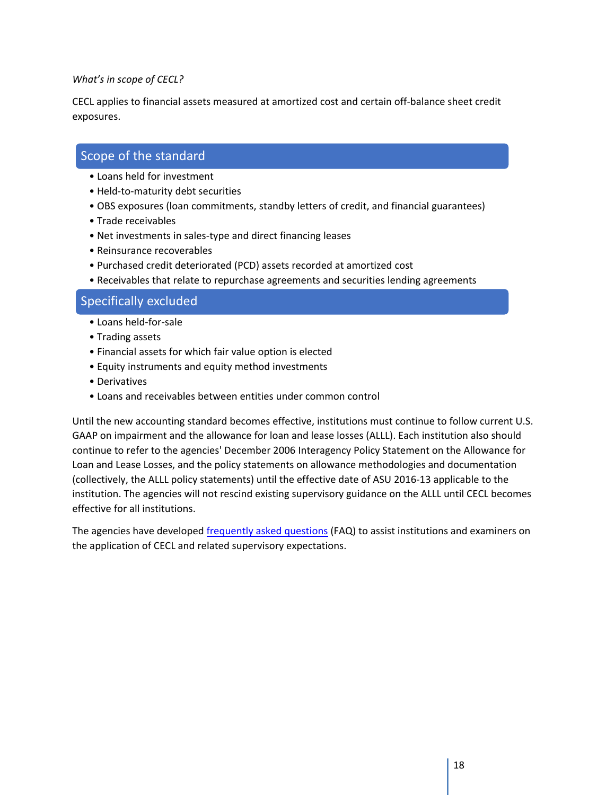#### *What's in scope of CECL?*

CECL applies to financial assets measured at amortized cost and certain off-balance sheet credit exposures.

# Scope of the standard

- Loans held for investment
- Held-to-maturity debt securities
- OBS exposures (loan commitments, standby letters of credit, and financial guarantees)
- Trade receivables
- Net investments in sales-type and direct financing leases
- Reinsurance recoverables
- Purchased credit deteriorated (PCD) assets recorded at amortized cost
- Receivables that relate to repurchase agreements and securities lending agreements

## Specifically excluded

- Loans held-for-sale
- Trading assets
- Financial assets for which fair value option is elected
- Equity instruments and equity method investments
- Derivatives
- Loans and receivables between entities under common control

Until the new accounting standard becomes effective, institutions must continue to follow current U.S. GAAP on impairment and the allowance for loan and lease losses (ALLL). Each institution also should continue to refer to the agencies' December 2006 Interagency Policy Statement on the Allowance for Loan and Lease Losses, and the policy statements on allowance methodologies and documentation (collectively, the ALLL policy statements) until the effective date of ASU 2016-13 applicable to the institution. The agencies will not rescind existing supervisory guidance on the ALLL until CECL becomes effective for all institutions.

The agencies have developed [frequently asked questions](https://www.federalreserve.gov/supervisionreg/topics/faq-new-accounting-standards-on-financial-instruments-credit-losses.htm) (FAQ) to assist institutions and examiners on the application of CECL and related supervisory expectations.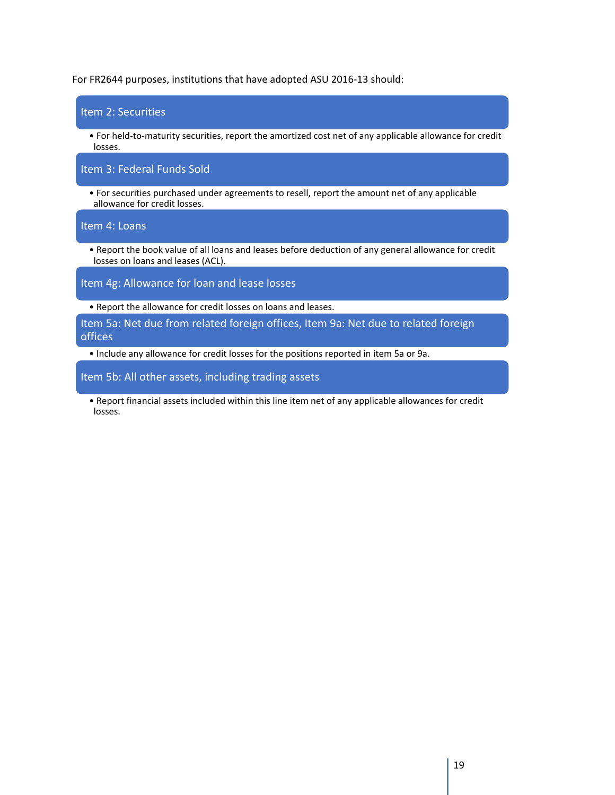For FR2644 purposes, institutions that have adopted ASU 2016-13 should:

| Item 2: Securities                                                                                                                        |
|-------------------------------------------------------------------------------------------------------------------------------------------|
| • For held-to-maturity securities, report the amortized cost net of any applicable allowance for credit<br>losses.                        |
| Item 3: Federal Funds Sold                                                                                                                |
| • For securities purchased under agreements to resell, report the amount net of any applicable<br>allowance for credit losses.            |
| Item 4: Loans                                                                                                                             |
| . Report the book value of all loans and leases before deduction of any general allowance for credit<br>losses on loans and leases (ACL). |
| Item 4g: Allowance for loan and lease losses                                                                                              |
| • Report the allowance for credit losses on loans and leases.                                                                             |
| Item 5a: Net due from related foreign offices, Item 9a: Net due to related foreign<br>offices                                             |
| • Include any allowance for credit losses for the positions reported in item 5a or 9a.                                                    |

Item 5b: All other assets, including trading assets

• Report financial assets included within this line item net of any applicable allowances for credit losses.